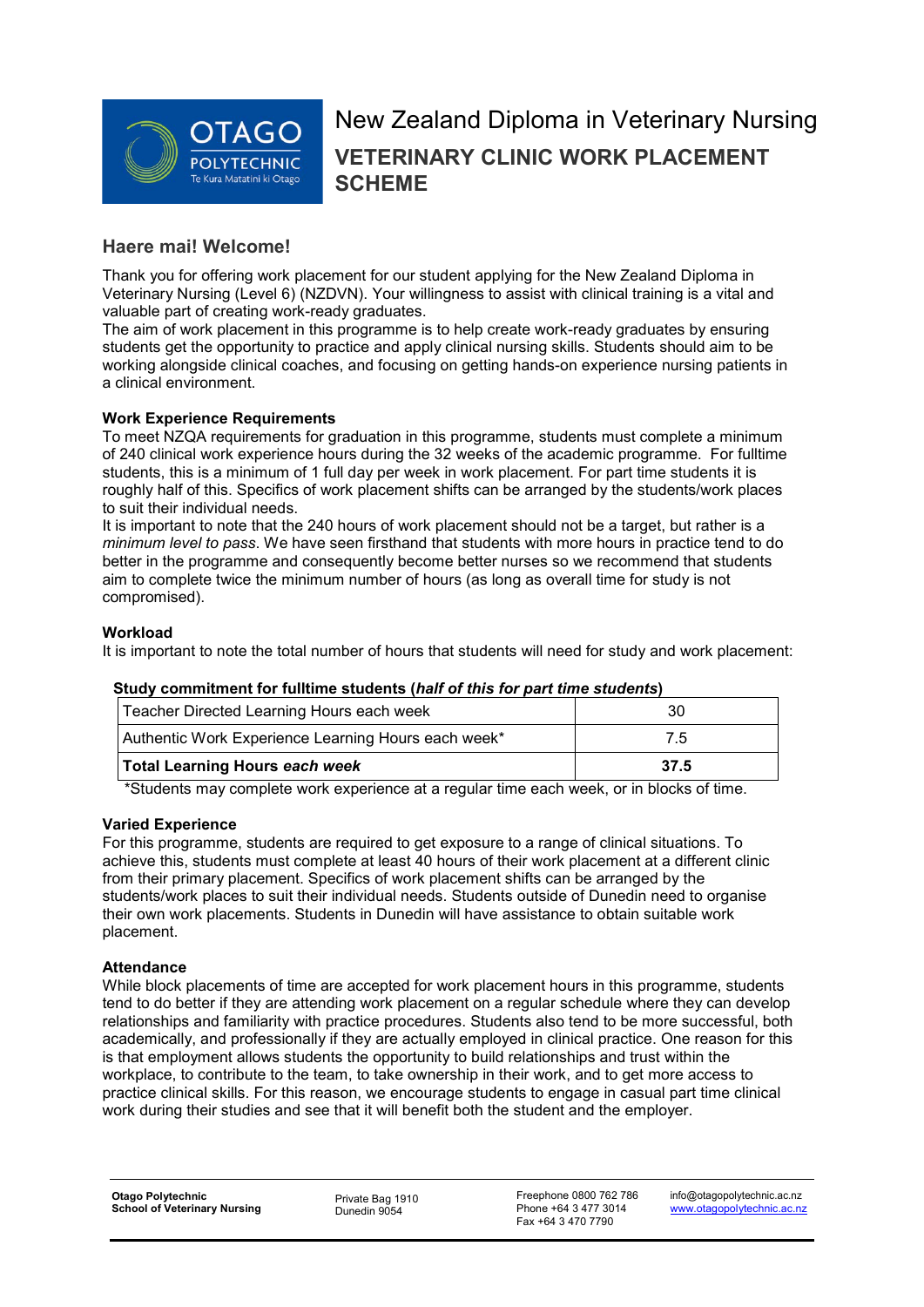

# New Zealand Diploma in Veterinary Nursing **VETERINARY CLINIC WORK PLACEMENT SCHEME**

# **Haere mai! Welcome!**

Thank you for offering work placement for our student applying for the New Zealand Diploma in Veterinary Nursing (Level 6) (NZDVN). Your willingness to assist with clinical training is a vital and valuable part of creating work-ready graduates.

The aim of work placement in this programme is to help create work-ready graduates by ensuring students get the opportunity to practice and apply clinical nursing skills. Students should aim to be working alongside clinical coaches, and focusing on getting hands-on experience nursing patients in a clinical environment.

#### **Work Experience Requirements**

To meet NZQA requirements for graduation in this programme, students must complete a minimum of 240 clinical work experience hours during the 32 weeks of the academic programme. For fulltime students, this is a minimum of 1 full day per week in work placement. For part time students it is roughly half of this. Specifics of work placement shifts can be arranged by the students/work places to suit their individual needs.

It is important to note that the 240 hours of work placement should not be a target, but rather is a *minimum level to pass*. We have seen firsthand that students with more hours in practice tend to do better in the programme and consequently become better nurses so we recommend that students aim to complete twice the minimum number of hours (as long as overall time for study is not compromised).

#### **Workload**

It is important to note the total number of hours that students will need for study and work placement:

#### **Study commitment for fulltime students (***half of this for part time students***)**

| Teacher Directed Learning Hours each week           | 30   |
|-----------------------------------------------------|------|
| Authentic Work Experience Learning Hours each week* | 7.5  |
| <b>Total Learning Hours each week</b>               | 37.5 |

\*Students may complete work experience at a regular time each week, or in blocks of time.

#### **Varied Experience**

For this programme, students are required to get exposure to a range of clinical situations. To achieve this, students must complete at least 40 hours of their work placement at a different clinic from their primary placement. Specifics of work placement shifts can be arranged by the students/work places to suit their individual needs. Students outside of Dunedin need to organise their own work placements. Students in Dunedin will have assistance to obtain suitable work placement.

#### **Attendance**

While block placements of time are accepted for work placement hours in this programme, students tend to do better if they are attending work placement on a regular schedule where they can develop relationships and familiarity with practice procedures. Students also tend to be more successful, both academically, and professionally if they are actually employed in clinical practice. One reason for this is that employment allows students the opportunity to build relationships and trust within the workplace, to contribute to the team, to take ownership in their work, and to get more access to practice clinical skills. For this reason, we encourage students to engage in casual part time clinical work during their studies and see that it will benefit both the student and the employer.

Dunedin 9054

Freephone 0800 762 786 Phone +64 3 477 3014 Fax +64 3 470 7790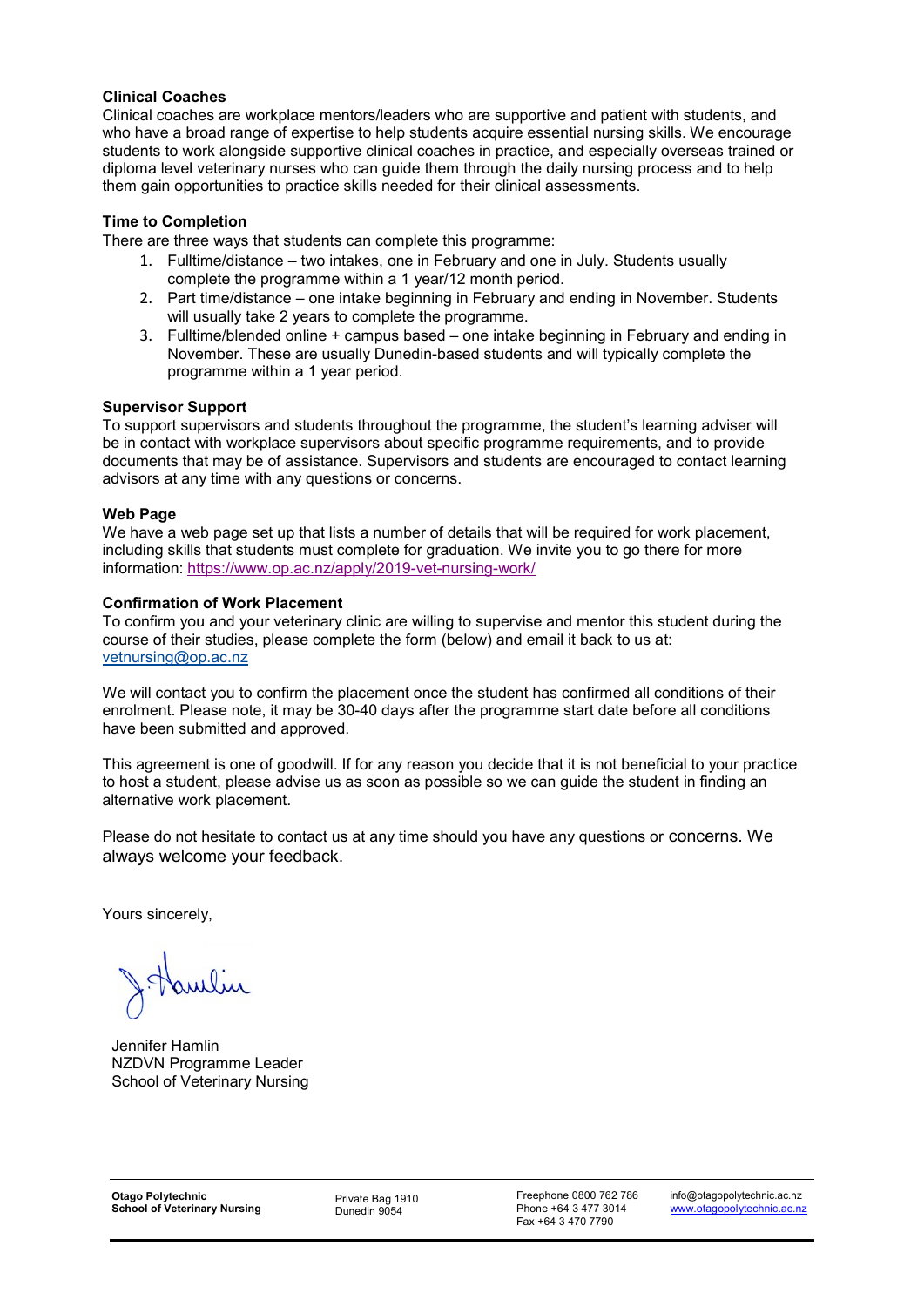#### **Clinical Coaches**

Clinical coaches are workplace mentors/leaders who are supportive and patient with students, and who have a broad range of expertise to help students acquire essential nursing skills. We encourage students to work alongside supportive clinical coaches in practice, and especially overseas trained or diploma level veterinary nurses who can guide them through the daily nursing process and to help them gain opportunities to practice skills needed for their clinical assessments.

#### **Time to Completion**

There are three ways that students can complete this programme:

- 1. Fulltime/distance two intakes, one in February and one in July. Students usually complete the programme within a 1 year/12 month period.
- 2. Part time/distance one intake beginning in February and ending in November. Students will usually take 2 years to complete the programme.
- 3. Fulltime/blended online + campus based one intake beginning in February and ending in November. These are usually Dunedin-based students and will typically complete the programme within a 1 year period.

#### **Supervisor Support**

To support supervisors and students throughout the programme, the student's learning adviser will be in contact with workplace supervisors about specific programme requirements, and to provide documents that may be of assistance. Supervisors and students are encouraged to contact learning advisors at any time with any questions or concerns.

#### **Web Page**

We have a web page set up that lists a number of details that will be required for work placement, including skills that students must complete for graduation. We invite you to go there for more information:<https://www.op.ac.nz/apply/2019-vet-nursing-work/>

#### **Confirmation of Work Placement**

To confirm you and your veterinary clinic are willing to supervise and mentor this student during the course of their studies, please complete the form (below) and email it back to us at: [vetnursing@op.ac.nz](mailto:vetnursing@op.ac.nz)

We will contact you to confirm the placement once the student has confirmed all conditions of their enrolment. Please note, it may be 30-40 days after the programme start date before all conditions have been submitted and approved.

This agreement is one of goodwill. If for any reason you decide that it is not beneficial to your practice to host a student, please advise us as soon as possible so we can guide the student in finding an alternative work placement.

Please do not hesitate to contact us at any time should you have any questions or concerns. We always welcome your feedback.

Yours sincerely,

Jennifer Hamlin NZDVN Programme Leader School of Veterinary Nursing

Dunedin 9054

Freephone 0800 762 786 Phone +64 3 477 3014 Fax +64 3 470 7790